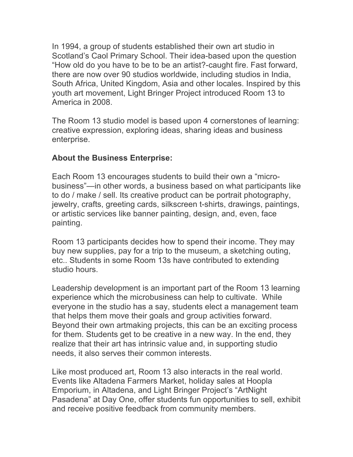In 1994, a group of students established their own art studio in Scotland's Caol Primary School. Their idea-based upon the question "How old do you have to be to be an artist?-caught fire. Fast forward, there are now over 90 studios worldwide, including studios in India, South Africa, United Kingdom, Asia and other locales. Inspired by this youth art movement, Light Bringer Project introduced Room 13 to America in 2008.

The Room 13 studio model is based upon 4 cornerstones of learning: creative expression, exploring ideas, sharing ideas and business enterprise.

## **About the Business Enterprise:**

Each Room 13 encourages students to build their own a "microbusiness"—in other words, a business based on what participants like to do / make / sell. Its creative product can be portrait photography, jewelry, crafts, greeting cards, silkscreen t-shirts, drawings, paintings, or artistic services like banner painting, design, and, even, face painting.

Room 13 participants decides how to spend their income. They may buy new supplies, pay for a trip to the museum, a sketching outing, etc.. Students in some Room 13s have contributed to extending studio hours.

Leadership development is an important part of the Room 13 learning experience which the microbusiness can help to cultivate. While everyone in the studio has a say, students elect a management team that helps them move their goals and group activities forward. Beyond their own artmaking projects, this can be an exciting process for them. Students get to be creative in a new way. In the end, they realize that their art has intrinsic value and, in supporting studio needs, it also serves their common interests.

Like most produced art, Room 13 also interacts in the real world. Events like Altadena Farmers Market, holiday sales at Hoopla Emporium, in Altadena, and Light Bringer Project's "ArtNight Pasadena" at Day One, offer students fun opportunities to sell, exhibit and receive positive feedback from community members.